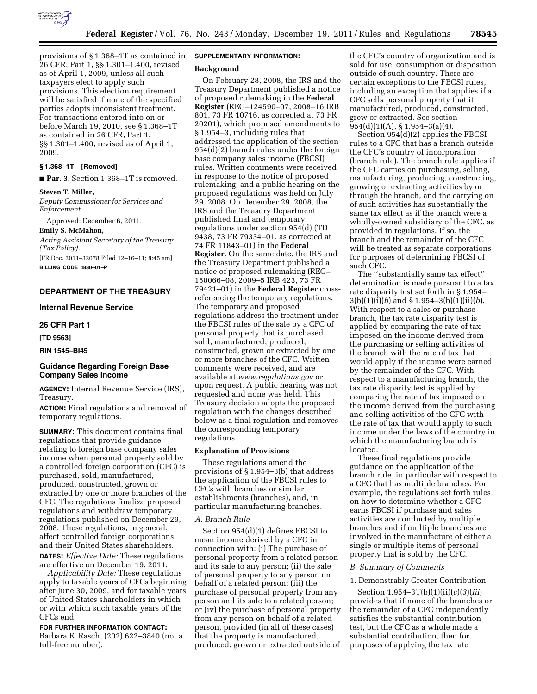

provisions of § 1.368–1T as contained in 26 CFR, Part 1, §§ 1.301–1.400, revised as of April 1, 2009, unless all such taxpayers elect to apply such provisions. This election requirement will be satisfied if none of the specified parties adopts inconsistent treatment. For transactions entered into on or before March 19, 2010, see § 1.368–1T as contained in 26 CFR, Part 1, §§ 1.301–1.400, revised as of April 1, 2009.

# **§ 1.368–1T [Removed]**

■ **Par. 3.** Section 1.368–1T is removed.

#### **Steven T. Miller,**

*Deputy Commissioner for Services and Enforcement.* 

Approved: December 6, 2011.

**Emily S. McMahon,** 

*Acting Assistant Secretary of the Treasury (Tax Policy).* 

[FR Doc. 2011–32078 Filed 12–16–11; 8:45 am] **BILLING CODE 4830–01–P** 

# **DEPARTMENT OF THE TREASURY**

### **Internal Revenue Service**

#### **26 CFR Part 1**

**[TD 9563]** 

## **RIN 1545–BI45**

# **Guidance Regarding Foreign Base Company Sales Income**

**AGENCY:** Internal Revenue Service (IRS), Treasury.

**ACTION:** Final regulations and removal of temporary regulations.

**SUMMARY:** This document contains final regulations that provide guidance relating to foreign base company sales income when personal property sold by a controlled foreign corporation (CFC) is purchased, sold, manufactured, produced, constructed, grown or extracted by one or more branches of the CFC. The regulations finalize proposed regulations and withdraw temporary regulations published on December 29, 2008. These regulations, in general, affect controlled foreign corporations and their United States shareholders.

**DATES:** *Effective Date:* These regulations are effective on December 19, 2011.

*Applicability Date:* These regulations apply to taxable years of CFCs beginning after June 30, 2009, and for taxable years of United States shareholders in which or with which such taxable years of the CFCs end.

**FOR FURTHER INFORMATION CONTACT:**  Barbara E. Rasch, (202) 622–3840 (not a toll-free number).

# **SUPPLEMENTARY INFORMATION:**

#### **Background**

On February 28, 2008, the IRS and the Treasury Department published a notice of proposed rulemaking in the **Federal Register** (REG–124590–07, 2008–16 IRB 801, 73 FR 10716, as corrected at 73 FR 20201), which proposed amendments to § 1.954–3, including rules that addressed the application of the section 954(d)(2) branch rules under the foreign base company sales income (FBCSI) rules. Written comments were received in response to the notice of proposed rulemaking, and a public hearing on the proposed regulations was held on July 29, 2008. On December 29, 2008, the IRS and the Treasury Department published final and temporary regulations under section 954(d) (TD 9438, 73 FR 79334–01, as corrected at 74 FR 11843–01) in the **Federal** 

**Register**. On the same date, the IRS and the Treasury Department published a notice of proposed rulemaking (REG– 150066–08, 2009–5 IRB 423, 73 FR 79421–01) in the **Federal Register** crossreferencing the temporary regulations. The temporary and proposed regulations address the treatment under the FBCSI rules of the sale by a CFC of personal property that is purchased, sold, manufactured, produced, constructed, grown or extracted by one or more branches of the CFC. Written comments were received, and are available at *[www.regulations.gov](http://www.regulations.gov)* or upon request. A public hearing was not requested and none was held. This Treasury decision adopts the proposed regulation with the changes described below as a final regulation and removes the corresponding temporary regulations.

### **Explanation of Provisions**

These regulations amend the provisions of § 1.954–3(b) that address the application of the FBCSI rules to CFCs with branches or similar establishments (branches), and, in particular manufacturing branches.

#### *A. Branch Rule*

Section 954(d)(1) defines FBCSI to mean income derived by a CFC in connection with: (i) The purchase of personal property from a related person and its sale to any person; (ii) the sale of personal property to any person on behalf of a related person; (iii) the purchase of personal property from any person and its sale to a related person; or (iv) the purchase of personal property from any person on behalf of a related person, provided (in all of these cases) that the property is manufactured, produced, grown or extracted outside of

the CFC's country of organization and is sold for use, consumption or disposition outside of such country. There are certain exceptions to the FBCSI rules, including an exception that applies if a CFC sells personal property that it manufactured, produced, constructed, grew or extracted. See section 954(d)(1)(A), § 1.954–3(a)(4).

Section 954(d)(2) applies the FBCSI rules to a CFC that has a branch outside the CFC's country of incorporation (branch rule). The branch rule applies if the CFC carries on purchasing, selling, manufacturing, producing, constructing, growing or extracting activities by or through the branch, and the carrying on of such activities has substantially the same tax effect as if the branch were a wholly-owned subsidiary of the CFC, as provided in regulations. If so, the branch and the remainder of the CFC will be treated as separate corporations for purposes of determining FBCSI of such CFC.

The ''substantially same tax effect'' determination is made pursuant to a tax rate disparity test set forth in § 1.954– 3(b)(1)(i)(*b*) and § 1.954–3(b)(1)(ii)(*b*). With respect to a sales or purchase branch, the tax rate disparity test is applied by comparing the rate of tax imposed on the income derived from the purchasing or selling activities of the branch with the rate of tax that would apply if the income were earned by the remainder of the CFC. With respect to a manufacturing branch, the tax rate disparity test is applied by comparing the rate of tax imposed on the income derived from the purchasing and selling activities of the CFC with the rate of tax that would apply to such income under the laws of the country in which the manufacturing branch is located.

These final regulations provide guidance on the application of the branch rule, in particular with respect to a CFC that has multiple branches. For example, the regulations set forth rules on how to determine whether a CFC earns FBCSI if purchase and sales activities are conducted by multiple branches and if multiple branches are involved in the manufacture of either a single or multiple items of personal property that is sold by the CFC.

### *B. Summary of Comments*

#### 1. Demonstrably Greater Contribution

Section 1.954–3T(b)(1)(ii)(*c*)(*3*)(*iii*) provides that if none of the branches or the remainder of a CFC independently satisfies the substantial contribution test, but the CFC as a whole made a substantial contribution, then for purposes of applying the tax rate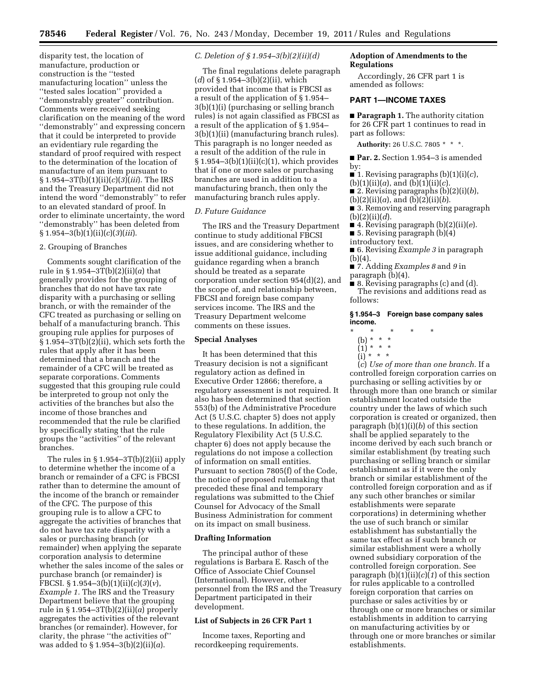disparity test, the location of manufacture, production or construction is the ''tested manufacturing location'' unless the ''tested sales location'' provided a ''demonstrably greater'' contribution. Comments were received seeking clarification on the meaning of the word ''demonstrably'' and expressing concern that it could be interpreted to provide an evidentiary rule regarding the standard of proof required with respect to the determination of the location of manufacture of an item pursuant to § 1.954–3T(b)(1)(ii)(*c*)(*3*)(*iii*). The IRS and the Treasury Department did not intend the word ''demonstrably'' to refer to an elevated standard of proof. In order to eliminate uncertainty, the word ''demonstrably'' has been deleted from § 1.954–3(b)(1)(ii)(*c*)(*3*)(*iii*).

## 2. Grouping of Branches

Comments sought clarification of the rule in § 1.954–3T(b)(2)(ii)(*a*) that generally provides for the grouping of branches that do not have tax rate disparity with a purchasing or selling branch, or with the remainder of the CFC treated as purchasing or selling on behalf of a manufacturing branch. This grouping rule applies for purposes of  $$1.954-3T(b)(2)(ii)$ , which sets forth the rules that apply after it has been determined that a branch and the remainder of a CFC will be treated as separate corporations. Comments suggested that this grouping rule could be interpreted to group not only the activities of the branches but also the income of those branches and recommended that the rule be clarified by specifically stating that the rule groups the ''activities'' of the relevant branches.

The rules in  $\S 1.954 - 3T(b)(2)(ii)$  apply to determine whether the income of a branch or remainder of a CFC is FBCSI rather than to determine the amount of the income of the branch or remainder of the CFC. The purpose of this grouping rule is to allow a CFC to aggregate the activities of branches that do not have tax rate disparity with a sales or purchasing branch (or remainder) when applying the separate corporation analysis to determine whether the sales income of the sales or purchase branch (or remainder) is FBCSI. § 1.954–3(b)(1)(ii)(*c*)(*3*)(*v*), *Example 1.* The IRS and the Treasury Department believe that the grouping rule in § 1.954–3T(b)(2)(ii)(*a*) properly aggregates the activities of the relevant branches (or remainder). However, for clarity, the phrase ''the activities of'' was added to § 1.954–3(b)(2)(ii)(*a*).

*C. Deletion of § 1.954–3(b)(2)(ii)(d)* 

The final regulations delete paragraph (*d*) of § 1.954–3(b)(2)(ii), which provided that income that is FBCSI as a result of the application of § 1.954– 3(b)(1)(i) (purchasing or selling branch rules) is not again classified as FBCSI as a result of the application of § 1.954– 3(b)(1)(ii) (manufacturing branch rules). This paragraph is no longer needed as a result of the addition of the rule in  $§ 1.954-3(b)(1)(ii)(c)(1)$ , which provides that if one or more sales or purchasing branches are used in addition to a manufacturing branch, then only the manufacturing branch rules apply.

# *D. Future Guidance*

The IRS and the Treasury Department continue to study additional FBCSI issues, and are considering whether to issue additional guidance, including guidance regarding when a branch should be treated as a separate corporation under section 954(d)(2), and the scope of, and relationship between, FBCSI and foreign base company services income. The IRS and the Treasury Department welcome comments on these issues.

### **Special Analyses**

It has been determined that this Treasury decision is not a significant regulatory action as defined in Executive Order 12866; therefore, a regulatory assessment is not required. It also has been determined that section 553(b) of the Administrative Procedure Act (5 U.S.C. chapter 5) does not apply to these regulations. In addition, the Regulatory Flexibility Act (5 U.S.C. chapter 6) does not apply because the regulations do not impose a collection of information on small entities. Pursuant to section 7805(f) of the Code, the notice of proposed rulemaking that preceded these final and temporary regulations was submitted to the Chief Counsel for Advocacy of the Small Business Administration for comment on its impact on small business.

### **Drafting Information**

The principal author of these regulations is Barbara E. Rasch of the Office of Associate Chief Counsel (International). However, other personnel from the IRS and the Treasury Department participated in their development.

# **List of Subjects in 26 CFR Part 1**

Income taxes, Reporting and recordkeeping requirements.

# **Adoption of Amendments to the Regulations**

Accordingly, 26 CFR part 1 is amended as follows:

# **PART 1—INCOME TAXES**

■ **Paragraph 1.** The authority citation for 26 CFR part 1 continues to read in part as follows:

**Authority:** 26 U.S.C. 7805 \* \* \*.

■ Par. 2. Section 1.954-3 is amended by:

- $\blacksquare$  1. Revising paragraphs (b)(1)(i)(c),
- $(b)(1)(ii)(a)$ , and  $(b)(1)(ii)(c)$ .
- 2. Revising paragraphs (b)(2)(i)(*b*),
- $(b)(2)(ii)(a)$ , and  $(b)(2)(ii)(b)$ .
- 3. Removing and reserving paragraph (b)(2)(ii)(*d*).
- 4. Revising paragraph (b)(2)(ii)(*e*).
- 5. Revising paragraph (b)(4)
- introductory text.

■ 6. Revising *Example 3* in paragraph  $(b)(4)$ .

- 7. Adding *Examples 8* and *9* in paragraph (b)(4).
- 8. Revising paragraphs (c) and (d). The revisions and additions read as follows:

## **§ 1.954–3 Foreign base company sales income.**

- \* \* \* \* \*
	- (b) \* \* \*
	- (1) \* \* \*
	- (i) \* \* \*

(*c*) *Use of more than one branch.* If a controlled foreign corporation carries on purchasing or selling activities by or through more than one branch or similar establishment located outside the country under the laws of which such corporation is created or organized, then paragraph (b)(1)(i)(*b*) of this section shall be applied separately to the income derived by each such branch or similar establishment (by treating such purchasing or selling branch or similar establishment as if it were the only branch or similar establishment of the controlled foreign corporation and as if any such other branches or similar establishments were separate corporations) in determining whether the use of such branch or similar establishment has substantially the same tax effect as if such branch or similar establishment were a wholly owned subsidiary corporation of the controlled foreign corporation. See paragraph  $(b)(1)(ii)(c)(1)$  of this section for rules applicable to a controlled foreign corporation that carries on purchase or sales activities by or through one or more branches or similar establishments in addition to carrying on manufacturing activities by or through one or more branches or similar establishments.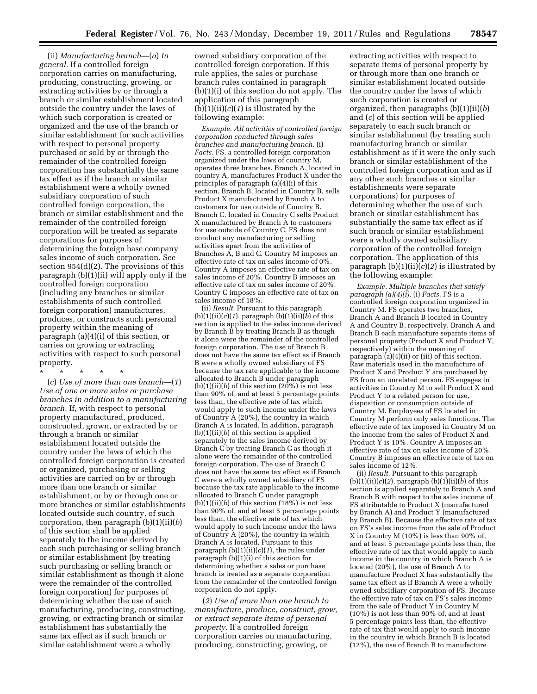(ii) *Manufacturing branch*—(*a*) *In general.* If a controlled foreign corporation carries on manufacturing, producing, constructing, growing, or extracting activities by or through a branch or similar establishment located outside the country under the laws of which such corporation is created or organized and the use of the branch or similar establishment for such activities with respect to personal property purchased or sold by or through the remainder of the controlled foreign corporation has substantially the same tax effect as if the branch or similar establishment were a wholly owned subsidiary corporation of such controlled foreign corporation, the branch or similar establishment and the remainder of the controlled foreign corporation will be treated as separate corporations for purposes of determining the foreign base company sales income of such corporation. See section 954(d)(2). The provisions of this paragraph (b)(1)(ii) will apply only if the controlled foreign corporation (including any branches or similar establishments of such controlled foreign corporation) manufactures, produces, or constructs such personal property within the meaning of paragraph (a)(4)(i) of this section, or carries on growing or extracting activities with respect to such personal property.

\* \* \* \* \*

(*c*) *Use of more than one branch*—(*1*) *Use of one or more sales or purchase branches in addition to a manufacturing branch.* If, with respect to personal property manufactured, produced, constructed, grown, or extracted by or through a branch or similar establishment located outside the country under the laws of which the controlled foreign corporation is created or organized, purchasing or selling activities are carried on by or through more than one branch or similar establishment, or by or through one or more branches or similar establishments located outside such country, of such corporation, then paragraph (b)(1)(ii)(*b*) of this section shall be applied separately to the income derived by each such purchasing or selling branch or similar establishment (by treating such purchasing or selling branch or similar establishment as though it alone were the remainder of the controlled foreign corporation) for purposes of determining whether the use of such manufacturing, producing, constructing, growing, or extracting branch or similar establishment has substantially the same tax effect as if such branch or similar establishment were a wholly

owned subsidiary corporation of the controlled foreign corporation. If this rule applies, the sales or purchase branch rules contained in paragraph (b)(1)(i) of this section do not apply. The application of this paragraph  $(b)(1)(ii)(c)(1)$  is illustrated by the following example:

*Example. All activities of controlled foreign corporation conducted through sales branches and manufacturing branch.* (i) *Facts.* FS, a controlled foreign corporation organized under the laws of country M, operates three branches. Branch A, located in country A, manufactures Product X under the principles of paragraph (a)(4)(i) of this section. Branch B, located in Country B, sells Product X manufactured by Branch A to customers for use outside of Country B. Branch C, located in Country C sells Product X manufactured by Branch A to customers for use outside of Country C. FS does not conduct any manufacturing or selling activities apart from the activities of Branches A, B and C. Country M imposes an effective rate of tax on sales income of 0%. Country A imposes an effective rate of tax on sales income of 20%. Country B imposes an effective rate of tax on sales income of 20%. Country C imposes an effective rate of tax on sales income of 18%.

(ii) *Result.* Pursuant to this paragraph (b)(1)(ii)(*c*)(*1*), paragraph (b)(1)(ii)(*b*) of this section is applied to the sales income derived by Branch B by treating Branch B as though it alone were the remainder of the controlled foreign corporation. The use of Branch B does not have the same tax effect as if Branch B were a wholly owned subsidiary of FS because the tax rate applicable to the income allocated to Branch B under paragraph  $(b)(1)(ii)(b)$  of this section  $(20\%)$  is not less than 90% of, and at least 5 percentage points less than, the effective rate of tax which would apply to such income under the laws of Country A (20%), the country in which Branch A is located. In addition, paragraph (b)(1)(ii)(*b*) of this section is applied separately to the sales income derived by Branch C by treating Branch C as though it alone were the remainder of the controlled foreign corporation. The use of Branch C does not have the same tax effect as if Branch C were a wholly owned subsidiary of FS because the tax rate applicable to the income allocated to Branch C under paragraph  $(b)(1)(ii)(b)$  of this section  $(18%)$  is not less than 90% of, and at least 5 percentage points less than, the effective rate of tax which would apply to such income under the laws of Country A (20%), the country in which Branch A is located. Pursuant to this paragraph  $(b)(1)(ii)(c)(1)$ , the rules under paragraph (b)(1)(i) of this section for determining whether a sales or purchase branch is treated as a separate corporation from the remainder of the controlled foreign corporation do not apply.

(*2*) *Use of more than one branch to manufacture, produce, construct, grow, or extract separate items of personal property.* If a controlled foreign corporation carries on manufacturing, producing, constructing, growing, or

extracting activities with respect to separate items of personal property by or through more than one branch or similar establishment located outside the country under the laws of which such corporation is created or organized, then paragraphs (b)(1)(ii)(*b*) and (*c*) of this section will be applied separately to each such branch or similar establishment (by treating such manufacturing branch or similar establishment as if it were the only such branch or similar establishment of the controlled foreign corporation and as if any other such branches or similar establishments were separate corporations) for purposes of determining whether the use of such branch or similar establishment has substantially the same tax effect as if such branch or similar establishment were a wholly owned subsidiary corporation of the controlled foreign corporation. The application of this paragraph  $(b)(1)(ii)(c)(2)$  is illustrated by the following example:

*Example. Multiple branches that satisfy paragraph*  $(a)(4)(i)$ *.* (i) *Facts.* FS is a controlled foreign corporation organized in Country M. FS operates two branches, Branch A and Branch B located in Country A and Country B, respectively. Branch A and Branch B each manufacture separate items of personal property (Product X and Product Y, respectively) within the meaning of paragraph (a)(4)(ii) or (iii) of this section. Raw materials used in the manufacture of Product X and Product Y are purchased by FS from an unrelated person. FS engages in activities in Country M to sell Product X and Product Y to a related person for use, disposition or consumption outside of Country M. Employees of FS located in Country M perform only sales functions. The effective rate of tax imposed in Country M on the income from the sales of Product X and Product Y is 10%. Country A imposes an effective rate of tax on sales income of 20%. Country B imposes an effective rate of tax on sales income of 12%.

(ii) *Result.* Pursuant to this paragraph  $(b)(1)(ii)(c)(2)$ , paragraph  $(b)(1)(ii)(b)$  of this section is applied separately to Branch A and Branch B with respect to the sales income of FS attributable to Product X (manufactured by Branch A) and Product Y (manufactured by Branch B). Because the effective rate of tax on FS's sales income from the sale of Product X in Country M (10%) is less than 90% of, and at least 5 percentage points less than, the effective rate of tax that would apply to such income in the country in which Branch A is located (20%), the use of Branch A to manufacture Product X has substantially the same tax effect as if Branch A were a wholly owned subsidiary corporation of FS. Because the effective rate of tax on FS's sales income from the sale of Product Y in Country M (10%) is not less than 90% of, and at least 5 percentage points less than, the effective rate of tax that would apply to such income in the country in which Branch B is located (12%), the use of Branch B to manufacture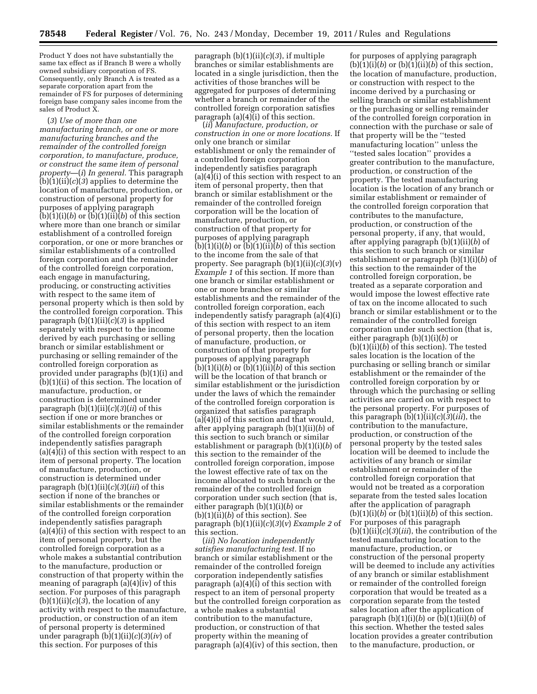Product Y does not have substantially the same tax effect as if Branch B were a wholly owned subsidiary corporation of FS. Consequently, only Branch A is treated as a separate corporation apart from the remainder of FS for purposes of determining foreign base company sales income from the sales of Product X.

(*3*) *Use of more than one manufacturing branch, or one or more manufacturing branches and the remainder of the controlled foreign corporation, to manufacture, produce, or construct the same item of personal property*—(*i*) *In general.* This paragraph  $(b)(1)(ii)(c)(3)$  applies to determine the location of manufacture, production, or construction of personal property for purposes of applying paragraph  $(b)(1)(i)(b)$  or  $(b)(1)(ii)(b)$  of this section where more than one branch or similar establishment of a controlled foreign corporation, or one or more branches or similar establishments of a controlled foreign corporation and the remainder of the controlled foreign corporation, each engage in manufacturing, producing, or constructing activities with respect to the same item of personal property which is then sold by the controlled foreign corporation. This paragraph (b)(1)(ii)(*c*)(*3*) is applied separately with respect to the income derived by each purchasing or selling branch or similar establishment or purchasing or selling remainder of the controlled foreign corporation as provided under paragraphs (b)(1)(i) and (b)(1)(ii) of this section. The location of manufacture, production, or construction is determined under paragraph  $(b)(1)(ii)(c)(3)(ii)$  of this section if one or more branches or similar establishments or the remainder of the controlled foreign corporation independently satisfies paragraph (a)(4)(i) of this section with respect to an item of personal property. The location of manufacture, production, or construction is determined under paragraph (b)(1)(ii)(*c*)(*3*)(*iii*) of this section if none of the branches or similar establishments or the remainder of the controlled foreign corporation independently satisfies paragraph (a)(4)(i) of this section with respect to an item of personal property, but the controlled foreign corporation as a whole makes a substantial contribution to the manufacture, production or construction of that property within the meaning of paragraph (a)(4)(iv) of this section. For purposes of this paragraph  $(b)(1)(ii)(c)(3)$ , the location of any activity with respect to the manufacture, production, or construction of an item of personal property is determined under paragraph (b)(1)(ii)(*c*)(*3*)(*iv*) of this section. For purposes of this

paragraph (b)(1)(ii)(*c*)(*3*), if multiple branches or similar establishments are located in a single jurisdiction, then the activities of those branches will be aggregated for purposes of determining whether a branch or remainder of the controlled foreign corporation satisfies paragraph (a)(4)(i) of this section.

(*ii*) *Manufacture, production, or construction in one or more locations.* If only one branch or similar establishment or only the remainder of a controlled foreign corporation independently satisfies paragraph (a)(4)(i) of this section with respect to an item of personal property, then that branch or similar establishment or the remainder of the controlled foreign corporation will be the location of manufacture, production, or construction of that property for purposes of applying paragraph  $(b)(1)(i)(b)$  or  $(b)(1)(ii)(b)$  of this section to the income from the sale of that property. See paragraph (b)(1)(ii)(*c*)(*3*)(*v*) *Example 1* of this section. If more than one branch or similar establishment or one or more branches or similar establishments and the remainder of the controlled foreign corporation, each independently satisfy paragraph (a)(4)(i) of this section with respect to an item of personal property, then the location of manufacture, production, or construction of that property for purposes of applying paragraph  $(b)(1)(i)(b)$  or  $(b)(1)(ii)(b)$  of this section will be the location of that branch or similar establishment or the jurisdiction under the laws of which the remainder of the controlled foreign corporation is organized that satisfies paragraph (a)(4)(i) of this section and that would, after applying paragraph (b)(1)(ii)(*b*) of this section to such branch or similar establishment or paragraph (b)(1)(i)(*b*) of this section to the remainder of the controlled foreign corporation, impose the lowest effective rate of tax on the income allocated to such branch or the remainder of the controlled foreign corporation under such section (that is, either paragraph (b)(1)(i)(*b*) or (b)(1)(ii)(*b*) of this section). See paragraph (b)(1)(ii)(*c*)(*3*)(*v*) *Example 2* of this section.

(*iii*) *No location independently satisfies manufacturing test.* If no branch or similar establishment or the remainder of the controlled foreign corporation independently satisfies paragraph (a)(4)(i) of this section with respect to an item of personal property but the controlled foreign corporation as a whole makes a substantial contribution to the manufacture, production, or construction of that property within the meaning of paragraph (a)(4)(iv) of this section, then

for purposes of applying paragraph  $(b)(1)(i)(b)$  or  $(b)(1)(ii)(b)$  of this section, the location of manufacture, production, or construction with respect to the income derived by a purchasing or selling branch or similar establishment or the purchasing or selling remainder of the controlled foreign corporation in connection with the purchase or sale of that property will be the ''tested manufacturing location'' unless the ''tested sales location'' provides a greater contribution to the manufacture, production, or construction of the property. The tested manufacturing location is the location of any branch or similar establishment or remainder of the controlled foreign corporation that contributes to the manufacture, production, or construction of the personal property, if any, that would, after applying paragraph (b)(1)(ii)(*b*) of this section to such branch or similar establishment or paragraph (b)(1)(i)(*b*) of this section to the remainder of the controlled foreign corporation, be treated as a separate corporation and would impose the lowest effective rate of tax on the income allocated to such branch or similar establishment or to the remainder of the controlled foreign corporation under such section (that is, either paragraph (b)(1)(i)(*b*) or (b)(1)(ii)(*b*) of this section). The tested sales location is the location of the purchasing or selling branch or similar establishment or the remainder of the controlled foreign corporation by or through which the purchasing or selling activities are carried on with respect to the personal property. For purposes of this paragraph  $(b)(1)(ii)(c)(3)(iii)$ , the contribution to the manufacture, production, or construction of the personal property by the tested sales location will be deemed to include the activities of any branch or similar establishment or remainder of the controlled foreign corporation that would not be treated as a corporation separate from the tested sales location after the application of paragraph  $(b)(1)(i)(b)$  or  $(b)(1)(ii)(b)$  of this section. For purposes of this paragraph  $(b)(1)(ii)(c)(3)(iii)$ , the contribution of the tested manufacturing location to the manufacture, production, or construction of the personal property will be deemed to include any activities of any branch or similar establishment or remainder of the controlled foreign corporation that would be treated as a corporation separate from the tested sales location after the application of paragraph  $(b)(1)(i)(b)$  or  $(b)(1)(ii)(b)$  of this section. Whether the tested sales location provides a greater contribution to the manufacture, production, or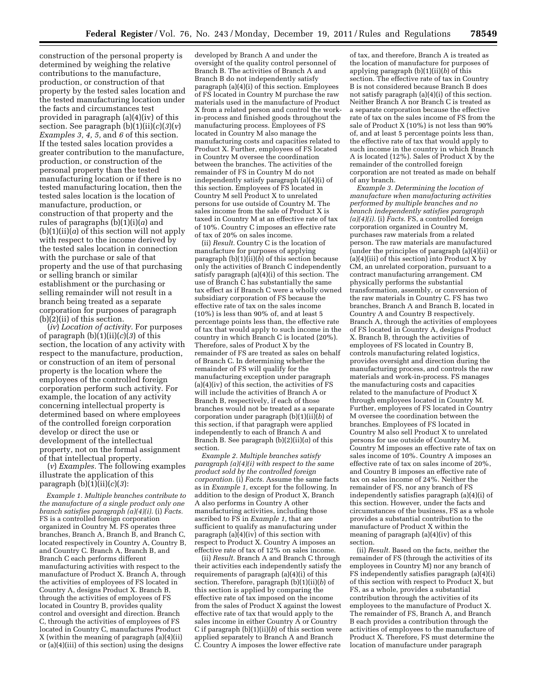construction of the personal property is determined by weighing the relative contributions to the manufacture, production, or construction of that property by the tested sales location and the tested manufacturing location under the facts and circumstances test provided in paragraph (a)(4)(iv) of this section. See paragraph (b)(1)(ii)(*c*)(*3*)(*v*) *Examples 3, 4, 5,* and *6* of this section. If the tested sales location provides a greater contribution to the manufacture, production, or construction of the personal property than the tested manufacturing location or if there is no tested manufacturing location, then the tested sales location is the location of manufacture, production, or construction of that property and the rules of paragraphs (b)(1)(i)(*a*) and  $(b)(1)(ii)(a)$  of this section will not apply with respect to the income derived by the tested sales location in connection with the purchase or sale of that property and the use of that purchasing or selling branch or similar establishment or the purchasing or selling remainder will not result in a branch being treated as a separate corporation for purposes of paragraph (b)(2)(ii) of this section.

(*iv*) *Location of activity.* For purposes of paragraph (b)(1)(ii)(*c*)(*3*) of this section, the location of any activity with respect to the manufacture, production, or construction of an item of personal property is the location where the employees of the controlled foreign corporation perform such activity. For example, the location of any activity concerning intellectual property is determined based on where employees of the controlled foreign corporation develop or direct the use or development of the intellectual property, not on the formal assignment of that intellectual property.

(*v*) *Examples.* The following examples illustrate the application of this paragraph (b)(1)(ii)(*c*)(*3*):

*Example 1. Multiple branches contribute to the manufacture of a single product only one branch satisfies paragraph (a)(4)(i).* (i) *Facts.*  FS is a controlled foreign corporation organized in Country M. FS operates three branches, Branch A, Branch B, and Branch C, located respectively in Country A, Country B, and Country C. Branch A, Branch B, and Branch C each performs different manufacturing activities with respect to the manufacture of Product X. Branch A, through the activities of employees of FS located in Country A, designs Product X. Branch B, through the activities of employees of FS located in Country B, provides quality control and oversight and direction. Branch C, through the activities of employees of FS located in Country C, manufactures Product X (within the meaning of paragraph (a)(4)(ii) or (a)(4)(iii) of this section) using the designs

developed by Branch A and under the oversight of the quality control personnel of Branch B. The activities of Branch A and Branch B do not independently satisfy paragraph (a)(4)(i) of this section. Employees of FS located in Country M purchase the raw materials used in the manufacture of Product X from a related person and control the workin-process and finished goods throughout the manufacturing process. Employees of FS located in Country M also manage the manufacturing costs and capacities related to Product X. Further, employees of FS located in Country M oversee the coordination between the branches. The activities of the remainder of FS in Country M do not independently satisfy paragraph (a)(4)(i) of this section. Employees of FS located in Country M sell Product X to unrelated persons for use outside of Country M. The sales income from the sale of Product X is taxed in Country M at an effective rate of tax of 10%. Country C imposes an effective rate of tax of 20% on sales income.

(ii) *Result.* Country C is the location of manufacture for purposes of applying paragraph  $(b)(1)(ii)(\bar{b})$  of this section because only the activities of Branch C independently satisfy paragraph (a)(4)(i) of this section. The use of Branch C has substantially the same tax effect as if Branch C were a wholly owned subsidiary corporation of FS because the effective rate of tax on the sales income (10%) is less than 90% of, and at least 5 percentage points less than, the effective rate of tax that would apply to such income in the country in which Branch C is located (20%). Therefore, sales of Product X by the remainder of FS are treated as sales on behalf of Branch C. In determining whether the remainder of FS will qualify for the manufacturing exception under paragraph  $(a)(4)(iv)$  of this section, the activities of FS will include the activities of Branch A or Branch B, respectively, if each of those branches would not be treated as a separate corporation under paragraph (b)(1)(ii)(*b*) of this section, if that paragraph were applied independently to each of Branch A and Branch B. See paragraph (b)(2)(ii)(*a*) of this section.

*Example 2. Multiple branches satisfy paragraph (a)(4)(i) with respect to the same product sold by the controlled foreign corporation.* (i) *Facts.* Assume the same facts as in *Example 1,* except for the following. In addition to the design of Product X, Branch A also performs in Country A other manufacturing activities, including those ascribed to FS in *Example 1,* that are sufficient to qualify as manufacturing under paragraph  $(a)(4)(iv)$  of this section with respect to Product X. Country A imposes an effective rate of tax of 12% on sales income.

(ii) *Result.* Branch A and Branch C through their activities each independently satisfy the requirements of paragraph (a)(4)(i) of this section. Therefore, paragraph (b)(1)(ii)(*b*) of this section is applied by comparing the effective rate of tax imposed on the income from the sales of Product X against the lowest effective rate of tax that would apply to the sales income in either Country A or Country C if paragraph (b)(1)(ii)(*b*) of this section were applied separately to Branch A and Branch C. Country A imposes the lower effective rate

of tax, and therefore, Branch A is treated as the location of manufacture for purposes of applying paragraph (b)(1)(ii)(*b*) of this section. The effective rate of tax in Country B is not considered because Branch B does not satisfy paragraph (a)(4)(i) of this section. Neither Branch A nor Branch C is treated as a separate corporation because the effective rate of tax on the sales income of FS from the sale of Product X (10%) is not less than 90% of, and at least 5 percentage points less than, the effective rate of tax that would apply to such income in the country in which Branch A is located (12%). Sales of Product X by the remainder of the controlled foreign corporation are not treated as made on behalf of any branch.

*Example 3. Determining the location of manufacture when manufacturing activities performed by multiple branches and no branch independently satisfies paragraph (a)(4)(i).* (i) *Facts.* FS, a controlled foreign corporation organized in Country M, purchases raw materials from a related person. The raw materials are manufactured (under the principles of paragraph (a)(4)(ii) or  $(a)(4)(iii)$  of this section) into Product X by CM, an unrelated corporation, pursuant to a contract manufacturing arrangement. CM physically performs the substantial transformation, assembly, or conversion of the raw materials in Country C. FS has two branches, Branch A and Branch B, located in Country A and Country B respectively. Branch A, through the activities of employees of FS located in Country A, designs Product X. Branch B, through the activities of employees of FS located in Country B, controls manufacturing related logistics, provides oversight and direction during the manufacturing process, and controls the raw materials and work-in-process. FS manages the manufacturing costs and capacities related to the manufacture of Product X through employees located in Country M. Further, employees of FS located in Country M oversee the coordination between the branches. Employees of FS located in Country M also sell Product X to unrelated persons for use outside of Country M. Country M imposes an effective rate of tax on sales income of 10%. Country A imposes an effective rate of tax on sales income of 20%, and Country B imposes an effective rate of tax on sales income of 24%. Neither the remainder of FS, nor any branch of FS independently satisfies paragraph (a)(4)(i) of this section. However, under the facts and circumstances of the business, FS as a whole provides a substantial contribution to the manufacture of Product X within the meaning of paragraph (a)(4)(iv) of this section.

(ii) *Result.* Based on the facts, neither the remainder of FS (through the activities of its employees in Country M) nor any branch of FS independently satisfies paragraph (a)(4)(i) of this section with respect to Product X, but FS, as a whole, provides a substantial contribution through the activities of its employees to the manufacture of Product X. The remainder of FS, Branch A, and Branch B each provides a contribution through the activities of employees to the manufacture of Product X. Therefore, FS must determine the location of manufacture under paragraph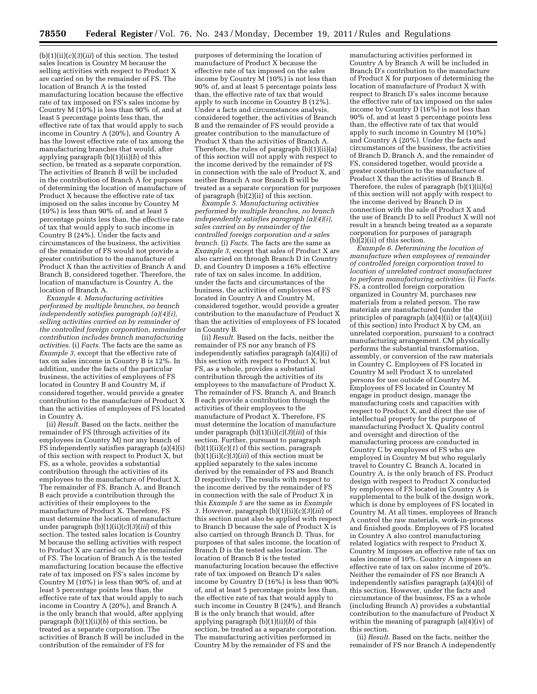(b)(1)(ii)(*c*)(*3*)(*iii*) of this section. The tested sales location is Country M because the selling activities with respect to Product X are carried on by the remainder of FS. The location of Branch A is the tested manufacturing location because the effective rate of tax imposed on FS's sales income by Country M (10%) is less than 90% of, and at least 5 percentage points less than, the effective rate of tax that would apply to such income in Country A (20%), and Country A has the lowest effective rate of tax among the manufacturing branches that would, after applying paragraph (b)(1)(ii)(*b*) of this section, be treated as a separate corporation. The activities of Branch B will be included in the contribution of Branch A for purposes of determining the location of manufacture of Product X because the effective rate of tax imposed on the sales income by Country M  $(10\%)$  is less than 90% of, and at least 5 percentage points less than, the effective rate of tax that would apply to such income in Country B (24%). Under the facts and circumstances of the business, the activities of the remainder of FS would not provide a greater contribution to the manufacture of Product X than the activities of Branch A and Branch B, considered together. Therefore, the location of manufacture is Country A, the location of Branch A.

*Example 4. Manufacturing activities performed by multiple branches, no branch independently satisfies paragraph (a)(4)(i), selling activities carried on by remainder of the controlled foreign corporation, remainder contribution includes branch manufacturing activities.* (i) *Facts.* The facts are the same as *Example 3,* except that the effective rate of tax on sales income in Country B is 12%. In addition, under the facts of the particular business, the activities of employees of FS located in Country B and Country M, if considered together, would provide a greater contribution to the manufacture of Product X than the activities of employees of FS located in Country A.

(ii) *Result.* Based on the facts, neither the remainder of FS (through activities of its employees in Country M) nor any branch of FS independently satisfies paragraph (a)(4)(i) of this section with respect to Product X, but FS, as a whole, provides a substantial contribution through the activities of its employees to the manufacture of Product X. The remainder of FS, Branch A, and Branch B each provide a contribution through the activities of their employees to the manufacture of Product X. Therefore, FS must determine the location of manufacture under paragraph (b)(1)(ii)(*c*)(*3*)(*iii*) of this section. The tested sales location is Country M because the selling activities with respect to Product X are carried on by the remainder of FS. The location of Branch A is the tested manufacturing location because the effective rate of tax imposed on FS's sales income by Country M (10%) is less than 90% of, and at least 5 percentage points less than, the effective rate of tax that would apply to such income in Country A (20%), and Branch A is the only branch that would, after applying paragraph (b)(1)(ii)(*b*) of this section, be treated as a separate corporation. The activities of Branch B will be included in the contribution of the remainder of FS for

purposes of determining the location of manufacture of Product X because the effective rate of tax imposed on the sales income by Country M  $(10\%)$  is not less than 90% of, and at least 5 percentage points less than, the effective rate of tax that would apply to such income in Country B (12%). Under a facts and circumstances analysis, considered together, the activities of Branch B and the remainder of FS would provide a greater contribution to the manufacture of Product X than the activities of Branch A. Therefore, the rules of paragraph (b)(1)(ii)(a) of this section will not apply with respect to the income derived by the remainder of FS in connection with the sale of Product X, and neither Branch A nor Branch B will be treated as a separate corporation for purposes of paragraph  $(b)(2)(ii)$  of this section.

*Example 5. Manufacturing activities performed by multiple branches, no branch independently satisfies paragraph (a)(4)(i), sales carried on by remainder of the controlled foreign corporation and a sales branch.* (i) *Facts.* The facts are the same as *Example 3,* except that sales of Product X are also carried on through Branch D in Country D, and Country D imposes a 16% effective rate of tax on sales income. In addition, under the facts and circumstances of the business, the activities of employees of FS located in Country A and Country M, considered together, would provide a greater contribution to the manufacture of Product X than the activities of employees of FS located in Country B.

(ii) *Result.* Based on the facts, neither the remainder of FS nor any branch of FS independently satisfies paragraph (a)(4)(i) of this section with respect to Product X, but FS, as a whole, provides a substantial contribution through the activities of its employees to the manufacture of Product X. The remainder of FS, Branch A, and Branch B each provide a contribution through the activities of their employees to the manufacture of Product X. Therefore, FS must determine the location of manufacture under paragraph (b)(1)(ii)(*c*)(*3*)(*iii*) of this section. Further, pursuant to paragraph  $(b)(1)(ii)(c)(1)$  of this section, paragraph  $(b)(1)(ii)(c)(3)(iii)$  of this section must be applied separately to the sales income derived by the remainder of FS and Branch D respectively. The results with respect to the income derived by the remainder of FS in connection with the sale of Product X in this *Example 5* are the same as in *Example*  3. However, paragraph  $(b)(1)(ii)(c)(3)(iii)$  of this section must also be applied with respect to Branch D because the sale of Product X is also carried on through Branch D. Thus, for purposes of that sales income, the location of Branch D is the tested sales location. The location of Branch B is the tested manufacturing location because the effective rate of tax imposed on Branch D's sales income by Country D (16%) is less than 90% of, and at least 5 percentage points less than, the effective rate of tax that would apply to such income in Country B (24%), and Branch B is the only branch that would, after applying paragraph (b)(1)(ii)(*b*) of this section, be treated as a separate corporation. The manufacturing activities performed in Country M by the remainder of FS and the

manufacturing activities performed in Country A by Branch A will be included in Branch D's contribution to the manufacture of Product X for purposes of determining the location of manufacture of Product X with respect to Branch D's sales income because the effective rate of tax imposed on the sales income by Country D  $(16\bar{\%})$  is not less than 90% of, and at least 5 percentage points less than, the effective rate of tax that would apply to such income in Country M (10%) and Country A (20%). Under the facts and circumstances of the business, the activities of Branch D, Branch A, and the remainder of FS, considered together, would provide a greater contribution to the manufacture of Product X than the activities of Branch B. Therefore, the rules of paragraph (b)(1)(ii)(*a*) of this section will not apply with respect to the income derived by Branch D in connection with the sale of Product X and the use of Branch D to sell Product X will not result in a branch being treated as a separate corporation for purposes of paragraph  $(b)(2)(ii)$  of this section.

*Example 6. Determining the location of manufacture when employees of remainder of controlled foreign corporation travel to location of unrelated contract manufacturer to perform manufacturing activities.* (i) *Facts.*  FS, a controlled foreign corporation organized in Country M, purchases raw materials from a related person. The raw materials are manufactured (under the principles of paragraph (a)(4)(ii) or (a)(4)(iii) of this section) into Product X by CM, an unrelated corporation, pursuant to a contract manufacturing arrangement. CM physically performs the substantial transformation, assembly, or conversion of the raw materials in Country C. Employees of FS located in Country M sell Product X to unrelated persons for use outside of Country M. Employees of FS located in Country M engage in product design, manage the manufacturing costs and capacities with respect to Product X, and direct the use of intellectual property for the purpose of manufacturing Product X. Quality control and oversight and direction of the manufacturing process are conducted in Country C by employees of FS who are employed in Country M but who regularly travel to Country C. Branch A, located in Country A, is the only branch of FS. Product design with respect to Product X conducted by employees of FS located in Country A is supplemental to the bulk of the design work, which is done by employees of FS located in Country M. At all times, employees of Branch A control the raw materials, work-in-process and finished goods. Employees of FS located in Country A also control manufacturing related logistics with respect to Product X. Country M imposes an effective rate of tax on sales income of 10%. Country A imposes an effective rate of tax on sales income of 20%. Neither the remainder of FS nor Branch A independently satisfies paragraph (a)(4)(i) of this section. However, under the facts and circumstance of the business, FS as a whole (including Branch A) provides a substantial contribution to the manufacture of Product X within the meaning of paragraph (a)(4)(iv) of this section.

(ii) *Result.* Based on the facts, neither the remainder of FS nor Branch A independently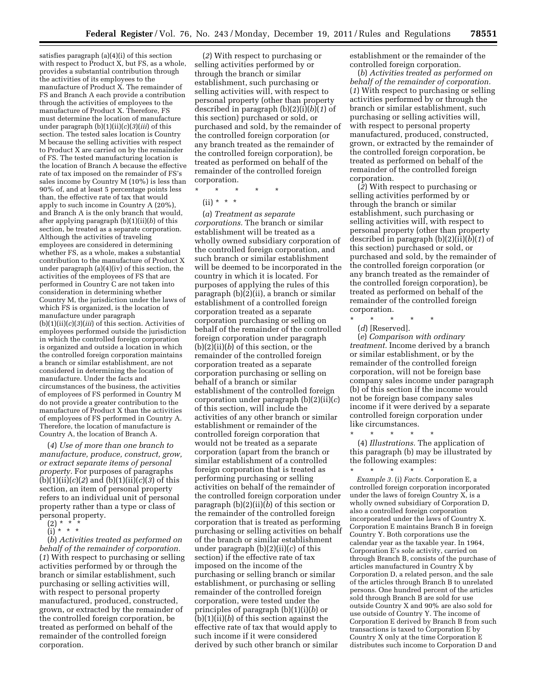satisfies paragraph (a)(4)(i) of this section with respect to Product X, but FS, as a whole, provides a substantial contribution through the activities of its employees to the manufacture of Product X. The remainder of FS and Branch A each provide a contribution through the activities of employees to the manufacture of Product X. Therefore, FS must determine the location of manufacture under paragraph (b)(1)(ii)(*c*)(*3*)(*iii*) of this section. The tested sales location is Country M because the selling activities with respect to Product X are carried on by the remainder of FS. The tested manufacturing location is the location of Branch A because the effective rate of tax imposed on the remainder of FS's sales income by Country M (10%) is less than 90% of, and at least 5 percentage points less than, the effective rate of tax that would apply to such income in Country A (20%), and Branch A is the only branch that would, after applying paragraph (b)(1)(ii)(*b*) of this section, be treated as a separate corporation. Although the activities of traveling employees are considered in determining whether FS, as a whole, makes a substantial contribution to the manufacture of Product X under paragraph (a)(4)(iv) of this section, the activities of the employees of FS that are performed in Country C are not taken into consideration in determining whether Country M, the jurisdiction under the laws of which FS is organized, is the location of manufacture under paragraph (b)(1)(ii)(*c*)(*3*)(*iii*) of this section. Activities of employees performed outside the jurisdiction in which the controlled foreign corporation is organized and outside a location in which the controlled foreign corporation maintains a branch or similar establishment, are not considered in determining the location of manufacture. Under the facts and circumstances of the business, the activities of employees of FS performed in Country M do not provide a greater contribution to the manufacture of Product X than the activities of employees of FS performed in Country A. Therefore, the location of manufacture is Country A, the location of Branch A.

(*4*) *Use of more than one branch to manufacture, produce, construct, grow, or extract separate items of personal property.* For purposes of paragraphs (b)(1)(ii)(*c*)(*2*) and (b)(1)(ii)(*c*)(*3*) of this section, an item of personal property refers to an individual unit of personal property rather than a type or class of personal property.

- (2) \* \* \*
- (i) \* \* \*

(*b*) *Activities treated as performed on behalf of the remainder of corporation.*  (*1*) With respect to purchasing or selling activities performed by or through the branch or similar establishment, such purchasing or selling activities will, with respect to personal property manufactured, produced, constructed, grown, or extracted by the remainder of the controlled foreign corporation, be treated as performed on behalf of the remainder of the controlled foreign corporation.

(*2*) With respect to purchasing or selling activities performed by or through the branch or similar establishment, such purchasing or selling activities will, with respect to personal property (other than property described in paragraph (b)(2)(i)(*b*)(*1*) of this section) purchased or sold, or purchased and sold, by the remainder of the controlled foreign corporation (or any branch treated as the remainder of the controlled foreign corporation), be treated as performed on behalf of the remainder of the controlled foreign corporation.

\* \* \* \* \*

(*a*) *Treatment as separate corporations.* The branch or similar establishment will be treated as a wholly owned subsidiary corporation of the controlled foreign corporation, and such branch or similar establishment will be deemed to be incorporated in the country in which it is located. For purposes of applying the rules of this paragraph (b)(2)(ii), a branch or similar establishment of a controlled foreign corporation treated as a separate corporation purchasing or selling on behalf of the remainder of the controlled foreign corporation under paragraph (b)(2)(ii)(*b*) of this section, or the remainder of the controlled foreign corporation treated as a separate corporation purchasing or selling on behalf of a branch or similar establishment of the controlled foreign corporation under paragraph (b)(2)(ii)(*c*) of this section, will include the activities of any other branch or similar establishment or remainder of the controlled foreign corporation that would not be treated as a separate corporation (apart from the branch or similar establishment of a controlled foreign corporation that is treated as performing purchasing or selling activities on behalf of the remainder of the controlled foreign corporation under paragraph (b)(2)(ii)(*b*) of this section or the remainder of the controlled foreign corporation that is treated as performing purchasing or selling activities on behalf of the branch or similar establishment under paragraph (b)(2)(ii)(*c*) of this section) if the effective rate of tax imposed on the income of the purchasing or selling branch or similar establishment, or purchasing or selling remainder of the controlled foreign corporation, were tested under the principles of paragraph (b)(1)(i)(*b*) or (b)(1)(ii)(*b*) of this section against the effective rate of tax that would apply to such income if it were considered derived by such other branch or similar

establishment or the remainder of the controlled foreign corporation.

(*b*) *Activities treated as performed on behalf of the remainder of corporation.*  (*1*) With respect to purchasing or selling activities performed by or through the branch or similar establishment, such purchasing or selling activities will, with respect to personal property manufactured, produced, constructed, grown, or extracted by the remainder of the controlled foreign corporation, be treated as performed on behalf of the remainder of the controlled foreign corporation.

(*2*) With respect to purchasing or selling activities performed by or through the branch or similar establishment, such purchasing or selling activities will, with respect to personal property (other than property described in paragraph (b)(2)(ii)(*b*)(*1*) of this section) purchased or sold, or purchased and sold, by the remainder of the controlled foreign corporation (or any branch treated as the remainder of the controlled foreign corporation), be treated as performed on behalf of the remainder of the controlled foreign corporation.

\* \* \* \* \* (*d*) [Reserved].

(*e*) *Comparison with ordinary treatment.* Income derived by a branch or similar establishment, or by the remainder of the controlled foreign corporation, will not be foreign base company sales income under paragraph (b) of this section if the income would not be foreign base company sales income if it were derived by a separate controlled foreign corporation under like circumstances.

\* \* \* \* \* (4) *Illustrations.* The application of this paragraph (b) may be illustrated by the following examples:

\* \* \* \* \* *Example 3.* (i) *Facts.* Corporation E, a controlled foreign corporation incorporated under the laws of foreign Country X, is a wholly owned subsidiary of Corporation D, also a controlled foreign corporation incorporated under the laws of Country X. Corporation E maintains Branch B in foreign Country Y. Both corporations use the calendar year as the taxable year. In 1964, Corporation E's sole activity, carried on through Branch B, consists of the purchase of articles manufactured in Country X by Corporation D, a related person, and the sale of the articles through Branch B to unrelated persons. One hundred percent of the articles sold through Branch B are sold for use outside Country X and 90% are also sold for use outside of Country Y. The income of Corporation E derived by Branch B from such transactions is taxed to Corporation E by Country X only at the time Corporation E distributes such income to Corporation D and

 $(ii) * * * *$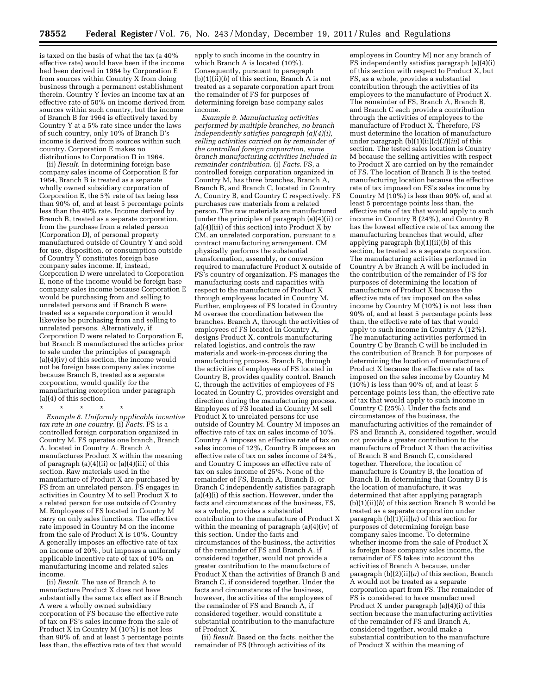is taxed on the basis of what the tax (a 40% effective rate) would have been if the income had been derived in 1964 by Corporation E from sources within Country X from doing business through a permanent establishment therein. Country Y levies an income tax at an effective rate of 50% on income derived from sources within such country, but the income of Branch B for 1964 is effectively taxed by Country Y at a 5% rate since under the laws of such country, only 10% of Branch B's income is derived from sources within such country. Corporation E makes no distributions to Corporation D in 1964.

(ii) *Result.* In determining foreign base company sales income of Corporation E for 1964, Branch B is treated as a separate wholly owned subsidiary corporation of Corporation E, the 5% rate of tax being less than 90% of, and at least 5 percentage points less than the 40% rate. Income derived by Branch B, treated as a separate corporation, from the purchase from a related person (Corporation D), of personal property manufactured outside of Country Y and sold for use, disposition, or consumption outside of Country Y constitutes foreign base company sales income. If, instead, Corporation D were unrelated to Corporation E, none of the income would be foreign base company sales income because Corporation E would be purchasing from and selling to unrelated persons and if Branch B were treated as a separate corporation it would likewise be purchasing from and selling to unrelated persons. Alternatively, if Corporation D were related to Corporation E, but Branch B manufactured the articles prior to sale under the principles of paragraph (a)(4)(iv) of this section, the income would not be foreign base company sales income because Branch B, treated as a separate corporation, would qualify for the manufacturing exception under paragraph (a)(4) of this section.

*Example 8. Uniformly applicable incentive tax rate in one country.* (i) *Facts.* FS is a controlled foreign corporation organized in Country M. FS operates one branch, Branch A, located in Country A. Branch A manufactures Product X within the meaning of paragraph  $(a)(4)(ii)$  or  $(a)(4)(iii)$  of this section. Raw materials used in the manufacture of Product X are purchased by FS from an unrelated person. FS engages in activities in Country  $\tilde{M}$  to sell Product X to a related person for use outside of Country M. Employees of FS located in Country M carry on only sales functions. The effective rate imposed in Country M on the income from the sale of Product X is 10%. Country A generally imposes an effective rate of tax on income of 20%, but imposes a uniformly applicable incentive rate of tax of 10% on manufacturing income and related sales income.

(ii) *Result.* The use of Branch A to manufacture Product X does not have substantially the same tax effect as if Branch A were a wholly owned subsidiary corporation of FS because the effective rate of tax on FS's sales income from the sale of Product X in Country M (10%) is not less than 90% of, and at least 5 percentage points less than, the effective rate of tax that would

apply to such income in the country in which Branch A is located (10%). Consequently, pursuant to paragraph (b)(1)(ii)(*b*) of this section, Branch A is not treated as a separate corporation apart from the remainder of FS for purposes of determining foreign base company sales income.

*Example 9. Manufacturing activities performed by multiple branches, no branch independently satisfies paragraph (a)(4)(i), selling activities carried on by remainder of the controlled foreign corporation, some branch manufacturing activities included in remainder contribution.* (i) *Facts.* FS, a controlled foreign corporation organized in Country M, has three branches, Branch A, Branch B, and Branch C, located in Country A, Country B, and Country C respectively. FS purchases raw materials from a related person. The raw materials are manufactured (under the principles of paragraph (a)(4)(ii) or  $(a)(4)(iii)$  of this section) into Product X by CM, an unrelated corporation, pursuant to a contract manufacturing arrangement. CM physically performs the substantial transformation, assembly, or conversion required to manufacture Product X outside of FS's country of organization. FS manages the manufacturing costs and capacities with respect to the manufacture of Product X through employees located in Country M. Further, employees of FS located in Country M oversee the coordination between the branches. Branch A, through the activities of employees of FS located in Country A, designs Product X, controls manufacturing related logistics, and controls the raw materials and work-in-process during the manufacturing process. Branch B, through the activities of employees of FS located in Country B, provides quality control. Branch C, through the activities of employees of FS located in Country C, provides oversight and direction during the manufacturing process. Employees of FS located in Country M sell Product X to unrelated persons for use outside of Country M. Country M imposes an effective rate of tax on sales income of 10%. Country A imposes an effective rate of tax on sales income of 12%, Country B imposes an effective rate of tax on sales income of 24%, and Country C imposes an effective rate of tax on sales income of 25%. None of the remainder of FS, Branch A, Branch B, or Branch C independently satisfies paragraph (a)(4)(i) of this section. However, under the facts and circumstances of the business, FS, as a whole, provides a substantial contribution to the manufacture of Product X within the meaning of paragraph (a)(4)(iv) of this section. Under the facts and circumstances of the business, the activities of the remainder of FS and Branch A, if considered together, would not provide a greater contribution to the manufacture of Product X than the activities of Branch B and Branch C, if considered together. Under the facts and circumstances of the business, however, the activities of the employees of the remainder of FS and Branch A, if considered together, would constitute a substantial contribution to the manufacture of Product X.

(ii) *Result.* Based on the facts, neither the remainder of FS (through activities of its

employees in Country M) nor any branch of FS independently satisfies paragraph (a)(4)(i) of this section with respect to Product X, but FS, as a whole, provides a substantial contribution through the activities of its employees to the manufacture of Product X. The remainder of FS, Branch A, Branch B, and Branch C each provide a contribution through the activities of employees to the manufacture of Product X. Therefore, FS must determine the location of manufacture under paragraph (b)(1)(ii)(*c*)(*3*)(*iii*) of this section. The tested sales location is Country M because the selling activities with respect to Product X are carried on by the remainder of FS. The location of Branch B is the tested manufacturing location because the effective rate of tax imposed on FS's sales income by Country M (10%) is less than 90% of, and at least 5 percentage points less than, the effective rate of tax that would apply to such income in Country B (24%), and Country B has the lowest effective rate of tax among the manufacturing branches that would, after applying paragraph (b)(1)(ii)(*b*) of this section, be treated as a separate corporation. The manufacturing activities performed in Country A by Branch A will be included in the contribution of the remainder of FS for purposes of determining the location of manufacture of Product X because the effective rate of tax imposed on the sales income by Country  $M(10\%)$  is not less than 90% of, and at least 5 percentage points less than, the effective rate of tax that would apply to such income in Country A (12%). The manufacturing activities performed in Country C by Branch C will be included in the contribution of Branch B for purposes of determining the location of manufacture of Product X because the effective rate of tax imposed on the sales income by Country M  $(10\%)$  is less than 90% of, and at least 5 percentage points less than, the effective rate of tax that would apply to such income in Country C (25%). Under the facts and circumstances of the business, the manufacturing activities of the remainder of FS and Branch A, considered together, would not provide a greater contribution to the manufacture of Product X than the activities of Branch B and Branch C, considered together. Therefore, the location of manufacture is Country B, the location of Branch B. In determining that Country B is the location of manufacture, it was determined that after applying paragraph (b)(1)(ii)(*b*) of this section Branch B would be treated as a separate corporation under paragraph  $(b)(1)(ii)(a)$  of this section for purposes of determining foreign base company sales income. To determine whether income from the sale of Product X is foreign base company sales income, the remainder of FS takes into account the activities of Branch A because, under paragraph (b)(2)(ii)(*a*) of this section, Branch A would not be treated as a separate corporation apart from FS. The remainder of FS is considered to have manufactured Product X under paragraph (a)(4)(i) of this section because the manufacturing activities of the remainder of FS and Branch A, considered together, would make a substantial contribution to the manufacture of Product X within the meaning of

<sup>\* \* \* \* \*</sup>